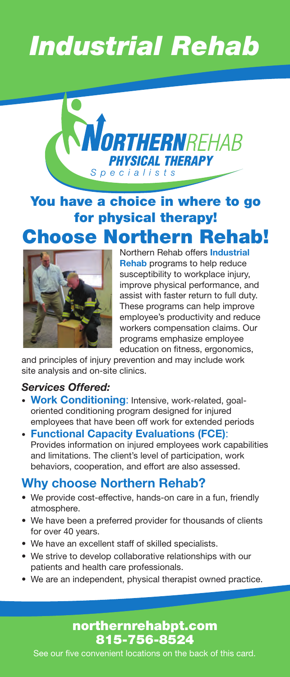# *Industrial Rehab*



# You have a choice in where to go for physical therapy! Choose Northern Rehab!



Northern Rehab offers **Industrial Rehab** programs to help reduce susceptibility to workplace injury, improve physical performance, and assist with faster return to full duty. These programs can help improve employee's productivity and reduce workers compensation claims. Our programs emphasize employee education on fitness, ergonomics,

and principles of injury prevention and may include work site analysis and on-site clinics.

#### *Services Offered:*

- **Work Conditioning**: Intensive, work-related, goal oriented conditioning program designed for injured employees that have been off work for extended periods
- **Functional Capacity Evaluations (FCE)**: Provides information on injured employees work capabilities and limitations. The client's level of participation, work behaviors, cooperation, and effort are also assessed.

#### **Why choose Northern Rehab?**

- We provide cost-effective, hands-on care in a fun, friendly atmosphere.
- We have been a preferred provider for thousands of clients for over 40 years.
- We have an excellent staff of skilled specialists.
- We strive to develop collaborative relationships with our patients and health care professionals.
- We are an independent, physical therapist owned practice.

#### northernrehabpt.com 815-756-8524

See our five convenient locations on the back of this card.